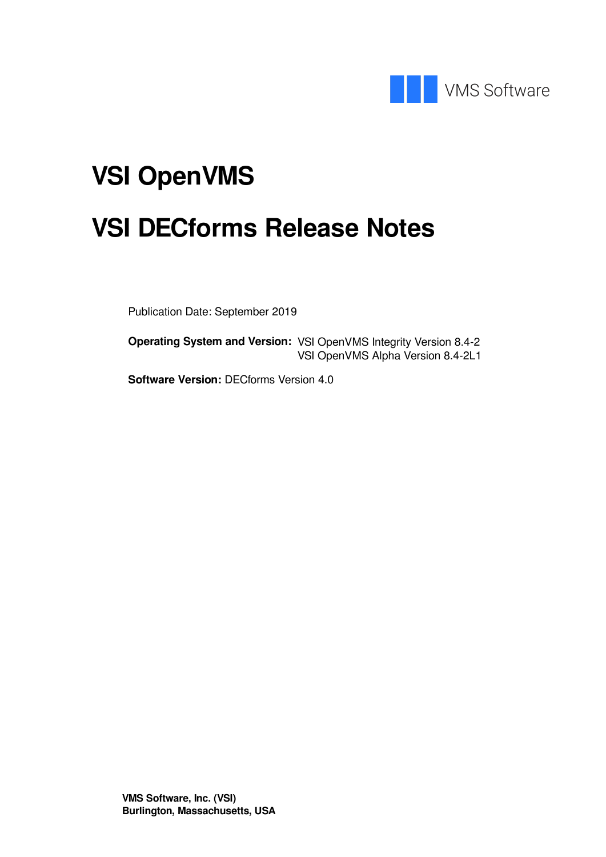

# **VSI OpenVMS VSI DECforms Release Notes**

Publication Date: September 2019

**Operating System and Version:** VSI OpenVMS Integrity Version 8.4-2 VSI OpenVMS Alpha Version 8.4-2L1

**Software Version:** DECforms Version 4.0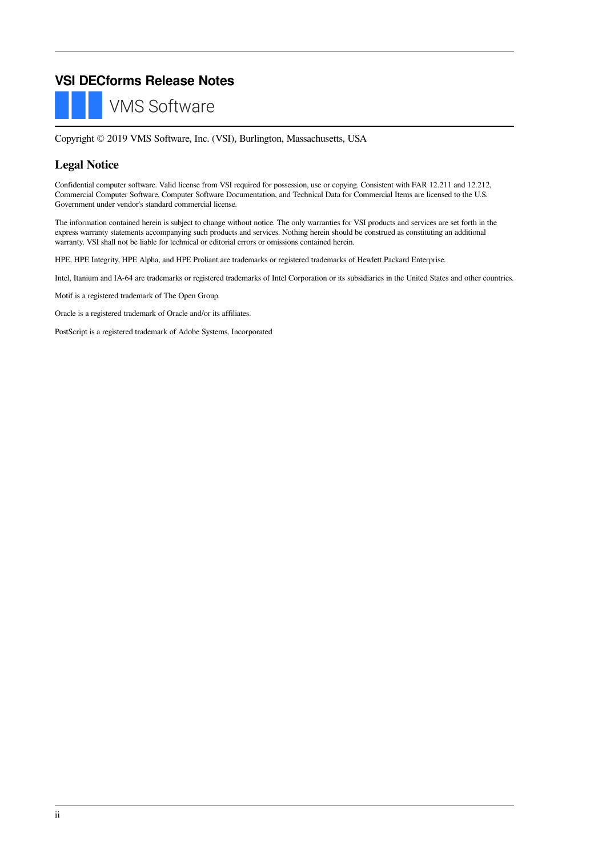#### **VSI DECforms Release Notes**

**VMS Software** 

Copyright © 2019 VMS Software, Inc. (VSI), Burlington, Massachusetts, USA

#### **Legal Notice**

Confidential computer software. Valid license from VSI required for possession, use or copying. Consistent with FAR 12.211 and 12.212, Commercial Computer Software, Computer Software Documentation, and Technical Data for Commercial Items are licensed to the U.S. Government under vendor's standard commercial license.

The information contained herein is subject to change without notice. The only warranties for VSI products and services are set forth in the express warranty statements accompanying such products and services. Nothing herein should be construed as constituting an additional warranty. VSI shall not be liable for technical or editorial errors or omissions contained herein.

HPE, HPE Integrity, HPE Alpha, and HPE Proliant are trademarks or registered trademarks of Hewlett Packard Enterprise.

Intel, Itanium and IA-64 are trademarks or registered trademarks of Intel Corporation or its subsidiaries in the United States and other countries.

Motif is a registered trademark of The Open Group.

Oracle is a registered trademark of Oracle and/or its affiliates.

PostScript is a registered trademark of Adobe Systems, Incorporated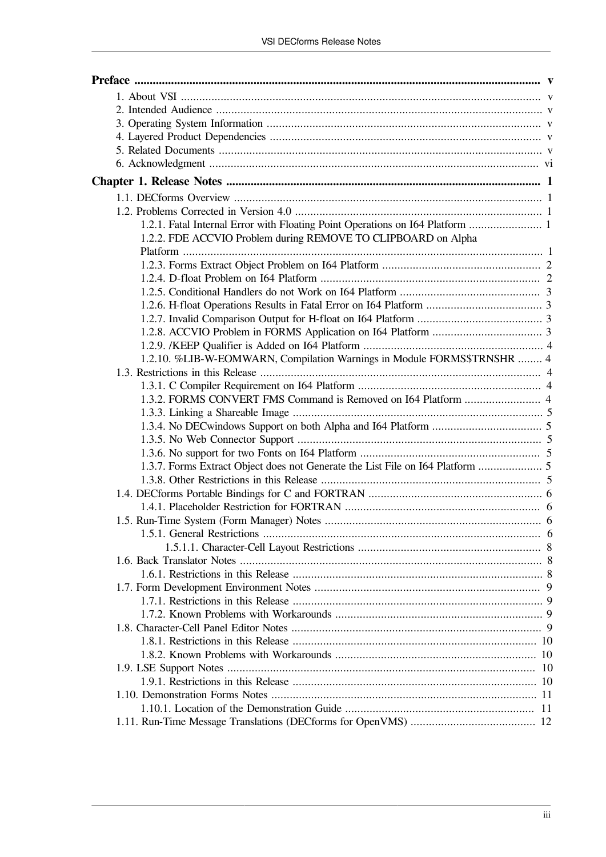| 1.2.1. Fatal Internal Error with Floating Point Operations on I64 Platform  1 |  |
|-------------------------------------------------------------------------------|--|
| 1.2.2. FDE ACCVIO Problem during REMOVE TO CLIPBOARD on Alpha                 |  |
|                                                                               |  |
|                                                                               |  |
|                                                                               |  |
|                                                                               |  |
|                                                                               |  |
|                                                                               |  |
|                                                                               |  |
|                                                                               |  |
| 1.2.10. %LIB-W-EOMWARN, Compilation Warnings in Module FORMS\$TRNSHR  4       |  |
|                                                                               |  |
|                                                                               |  |
|                                                                               |  |
|                                                                               |  |
|                                                                               |  |
|                                                                               |  |
|                                                                               |  |
|                                                                               |  |
|                                                                               |  |
|                                                                               |  |
|                                                                               |  |
|                                                                               |  |
|                                                                               |  |
|                                                                               |  |
|                                                                               |  |
|                                                                               |  |
|                                                                               |  |
|                                                                               |  |
|                                                                               |  |
|                                                                               |  |
|                                                                               |  |
|                                                                               |  |
|                                                                               |  |
|                                                                               |  |
|                                                                               |  |
|                                                                               |  |
|                                                                               |  |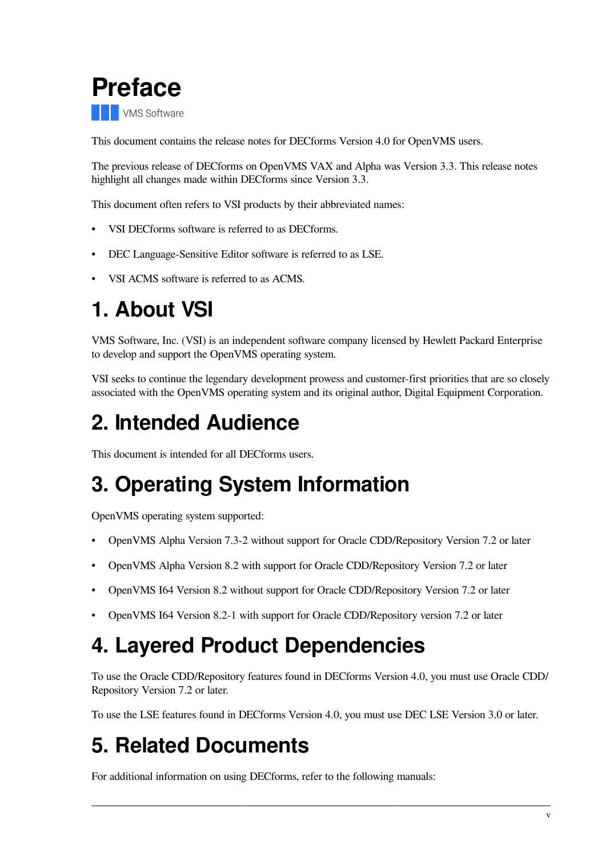<span id="page-4-0"></span>

This document contains the release notes for DECforms Version 4.0 for OpenVMS users.

The previous release of DECforms on OpenVMS VAX and Alpha was Version 3.3. This release notes highlight all changes made within DECforms since Version 3.3.

This document often refers to VSI products by their abbreviated names:

- VSI DECforms software is referred to as DECforms.
- DEC Language-Sensitive Editor software is referred to as LSE.
- VSI ACMS software is referred to as ACMS.

# <span id="page-4-1"></span>**1. About VSI**

VMS Software, Inc. (VSI) is an independent software company licensed by Hewlett Packard Enterprise to develop and support the OpenVMS operating system.

VSI seeks to continue the legendary development prowess and customer-first priorities that are so closely associated with the OpenVMS operating system and its original author, Digital Equipment Corporation.

# <span id="page-4-2"></span>**2. Intended Audience**

This document is intended for all DECforms users.

# <span id="page-4-3"></span>**3. Operating System Information**

OpenVMS operating system supported:

- OpenVMS Alpha Version 7.3-2 without support for Oracle CDD/Repository Version 7.2 or later
- OpenVMS Alpha Version 8.2 with support for Oracle CDD/Repository Version 7.2 or later
- OpenVMS I64 Version 8.2 without support for Oracle CDD/Repository Version 7.2 or later
- <span id="page-4-4"></span>• OpenVMS I64 Version 8.2-1 with support for Oracle CDD/Repository version 7.2 or later

# **4. Layered Product Dependencies**

To use the Oracle CDD/Repository features found in DECforms Version 4.0, you must use Oracle CDD/ Repository Version 7.2 or later.

<span id="page-4-5"></span>To use the LSE features found in DECforms Version 4.0, you must use DEC LSE Version 3.0 or later.

# **5. Related Documents**

For additional information on using DECforms, refer to the following manuals: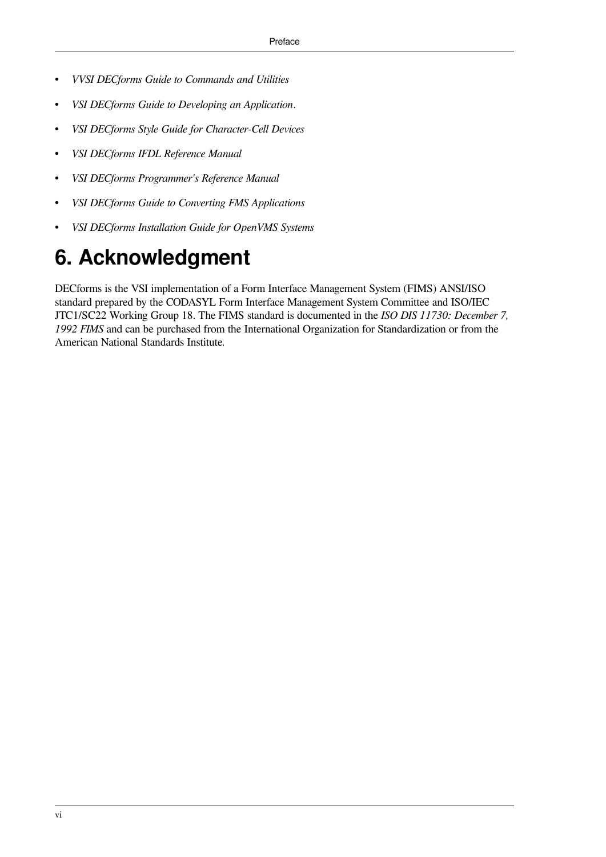- *VVSI DECforms Guide to Commands and Utilities*
- *VSI DECforms Guide to Developing an Application*.
- *VSI DECforms Style Guide for Character-Cell Devices*
- *VSI DECforms IFDL Reference Manual*
- *VSI DECforms Programmer's Reference Manual*
- *VSI DECforms Guide to Converting FMS Applications*
- *VSI DECforms Installation Guide for OpenVMS Systems*

# <span id="page-5-0"></span>**6. Acknowledgment**

DECforms is the VSI implementation of a Form Interface Management System (FIMS) ANSI/ISO standard prepared by the CODASYL Form Interface Management System Committee and ISO/IEC JTC1/SC22 Working Group 18. The FIMS standard is documented in the *ISO DIS 11730: December 7, 1992 FIMS* and can be purchased from the International Organization for Standardization or from the American National Standards Institute.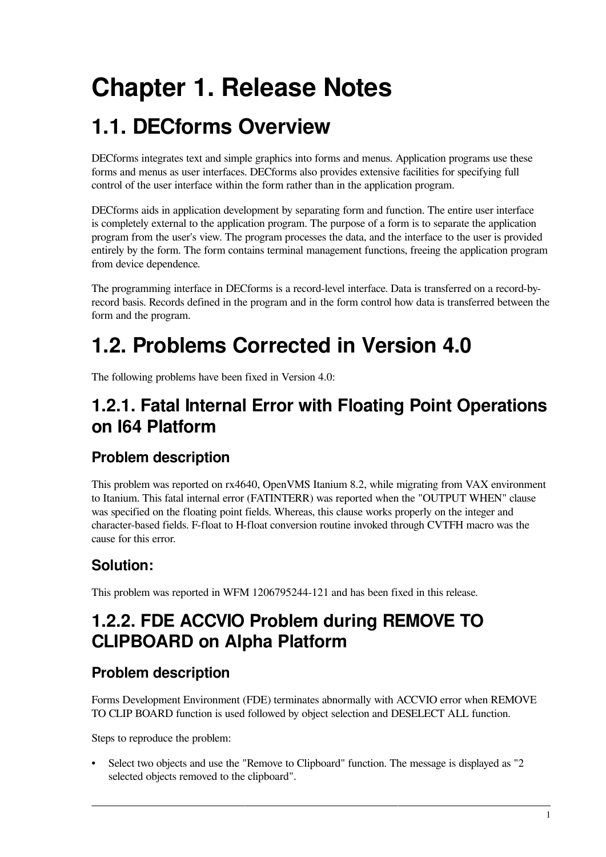# <span id="page-6-0"></span>**Chapter 1. Release Notes**

# <span id="page-6-1"></span>**1.1. DECforms Overview**

DECforms integrates text and simple graphics into forms and menus. Application programs use these forms and menus as user interfaces. DECforms also provides extensive facilities for specifying full control of the user interface within the form rather than in the application program.

DECforms aids in application development by separating form and function. The entire user interface is completely external to the application program. The purpose of a form is to separate the application program from the user's view. The program processes the data, and the interface to the user is provided entirely by the form. The form contains terminal management functions, freeing the application program from device dependence.

The programming interface in DECforms is a record-level interface. Data is transferred on a record-byrecord basis. Records defined in the program and in the form control how data is transferred between the form and the program.

# <span id="page-6-2"></span>**1.2. Problems Corrected in Version 4.0**

The following problems have been fixed in Version 4.0:

### <span id="page-6-3"></span>**1.2.1. Fatal Internal Error with Floating Point Operations on I64 Platform**

### **Problem description**

This problem was reported on rx4640, OpenVMS Itanium 8.2, while migrating from VAX environment to Itanium. This fatal internal error (FATINTERR) was reported when the "OUTPUT WHEN" clause was specified on the floating point fields. Whereas, this clause works properly on the integer and character-based fields. F-float to H-float conversion routine invoked through CVTFH macro was the cause for this error.

### **Solution:**

This problem was reported in WFM 1206795244-121 and has been fixed in this release.

## <span id="page-6-4"></span>**1.2.2. FDE ACCVIO Problem during REMOVE TO CLIPBOARD on Alpha Platform**

### **Problem description**

Forms Development Environment (FDE) terminates abnormally with ACCVIO error when REMOVE TO CLIP BOARD function is used followed by object selection and DESELECT ALL function.

Steps to reproduce the problem:

• Select two objects and use the "Remove to Clipboard" function. The message is displayed as "2 selected objects removed to the clipboard".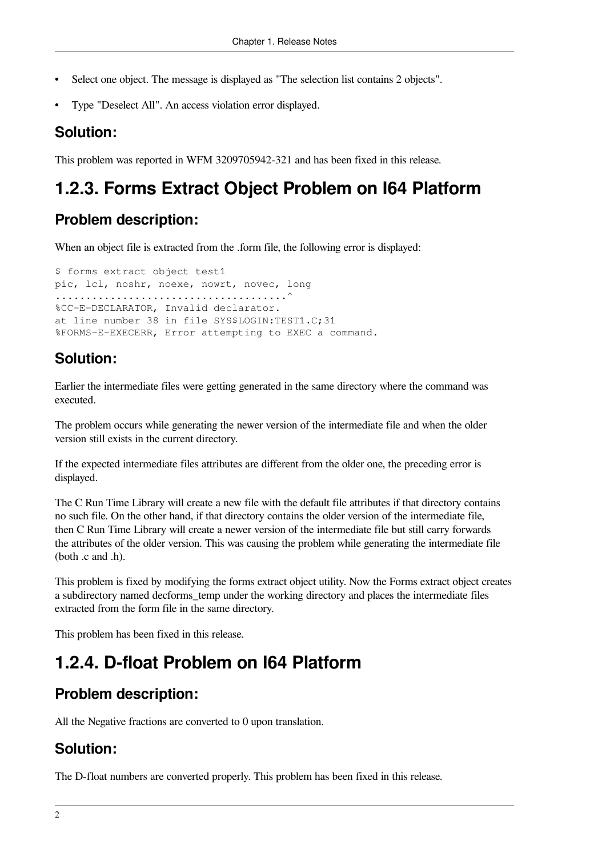- Select one object. The message is displayed as "The selection list contains 2 objects".
- Type "Deselect All". An access violation error displayed.

#### **Solution:**

<span id="page-7-0"></span>This problem was reported in WFM 3209705942-321 and has been fixed in this release.

### **1.2.3. Forms Extract Object Problem on I64 Platform**

#### **Problem description:**

When an object file is extracted from the .form file, the following error is displayed:

```
$ forms extract object test1
pic, lcl, noshr, noexe, nowrt, novec, long
......................................^
%CC-E-DECLARATOR, Invalid declarator.
at line number 38 in file SYS$LOGIN:TEST1.C;31
%FORMS-E-EXECERR, Error attempting to EXEC a command.
```
#### **Solution:**

Earlier the intermediate files were getting generated in the same directory where the command was executed.

The problem occurs while generating the newer version of the intermediate file and when the older version still exists in the current directory.

If the expected intermediate files attributes are different from the older one, the preceding error is displayed.

The C Run Time Library will create a new file with the default file attributes if that directory contains no such file. On the other hand, if that directory contains the older version of the intermediate file, then C Run Time Library will create a newer version of the intermediate file but still carry forwards the attributes of the older version. This was causing the problem while generating the intermediate file (both .c and .h).

This problem is fixed by modifying the forms extract object utility. Now the Forms extract object creates a subdirectory named decforms\_temp under the working directory and places the intermediate files extracted from the form file in the same directory.

<span id="page-7-1"></span>This problem has been fixed in this release.

### **1.2.4. D-float Problem on I64 Platform**

#### **Problem description:**

All the Negative fractions are converted to 0 upon translation.

#### **Solution:**

The D-float numbers are converted properly. This problem has been fixed in this release.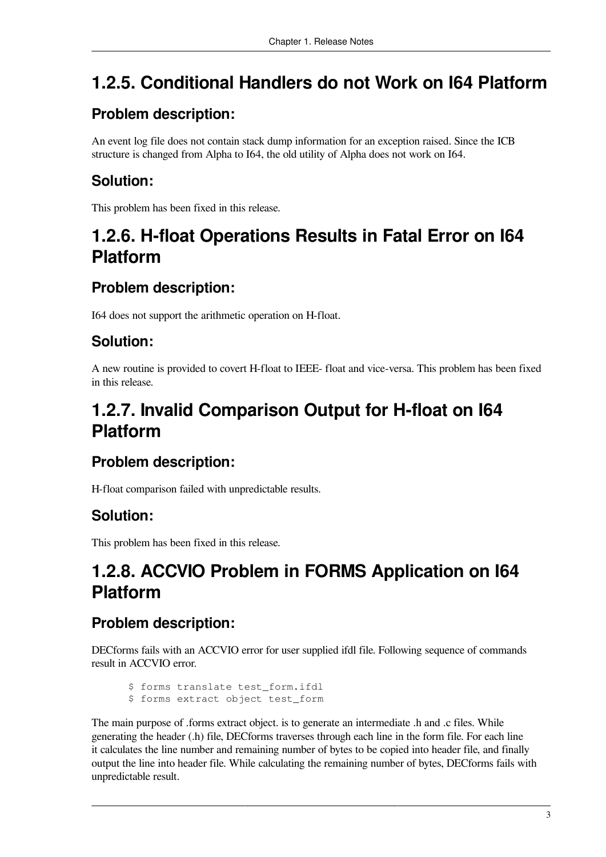# <span id="page-8-0"></span>**1.2.5. Conditional Handlers do not Work on I64 Platform**

### **Problem description:**

An event log file does not contain stack dump information for an exception raised. Since the ICB structure is changed from Alpha to I64, the old utility of Alpha does not work on I64.

### **Solution:**

This problem has been fixed in this release.

### <span id="page-8-1"></span>**1.2.6. H-float Operations Results in Fatal Error on I64 Platform**

#### **Problem description:**

I64 does not support the arithmetic operation on H-float.

#### **Solution:**

A new routine is provided to covert H-float to IEEE- float and vice-versa. This problem has been fixed in this release.

### <span id="page-8-2"></span>**1.2.7. Invalid Comparison Output for H-float on I64 Platform**

#### **Problem description:**

H-float comparison failed with unpredictable results.

#### **Solution:**

This problem has been fixed in this release.

### <span id="page-8-3"></span>**1.2.8. ACCVIO Problem in FORMS Application on I64 Platform**

#### **Problem description:**

DECforms fails with an ACCVIO error for user supplied ifdl file. Following sequence of commands result in ACCVIO error.

 \$ forms translate test\_form.ifdl \$ forms extract object test\_form

The main purpose of .forms extract object. is to generate an intermediate .h and .c files. While generating the header (.h) file, DECforms traverses through each line in the form file. For each line it calculates the line number and remaining number of bytes to be copied into header file, and finally output the line into header file. While calculating the remaining number of bytes, DECforms fails with unpredictable result.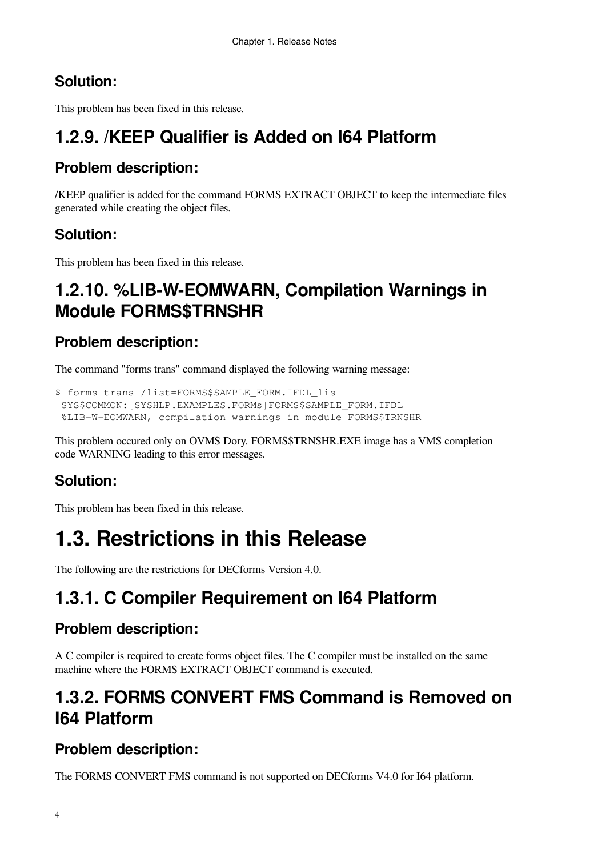### **Solution:**

This problem has been fixed in this release.

## <span id="page-9-0"></span>**1.2.9. /KEEP Qualifier is Added on I64 Platform**

### **Problem description:**

/KEEP qualifier is added for the command FORMS EXTRACT OBJECT to keep the intermediate files generated while creating the object files.

#### **Solution:**

This problem has been fixed in this release.

### <span id="page-9-1"></span>**1.2.10. %LIB-W-EOMWARN, Compilation Warnings in Module FORMS\$TRNSHR**

### **Problem description:**

The command "forms trans" command displayed the following warning message:

```
$ forms trans /list=FORMS$SAMPLE_FORM.IFDL_lis
  SYS$COMMON:[SYSHLP.EXAMPLES.FORMs]FORMS$SAMPLE_FORM.IFDL
  %LIB-W-EOMWARN, compilation warnings in module FORMS$TRNSHR
```
This problem occured only on OVMS Dory. FORMS\$TRNSHR.EXE image has a VMS completion code WARNING leading to this error messages.

### **Solution:**

This problem has been fixed in this release.

# <span id="page-9-2"></span>**1.3. Restrictions in this Release**

The following are the restrictions for DECforms Version 4.0.

# <span id="page-9-3"></span>**1.3.1. C Compiler Requirement on I64 Platform**

### **Problem description:**

A C compiler is required to create forms object files. The C compiler must be installed on the same machine where the FORMS EXTRACT OBJECT command is executed.

### <span id="page-9-4"></span>**1.3.2. FORMS CONVERT FMS Command is Removed on I64 Platform**

### **Problem description:**

The FORMS CONVERT FMS command is not supported on DECforms V4.0 for I64 platform.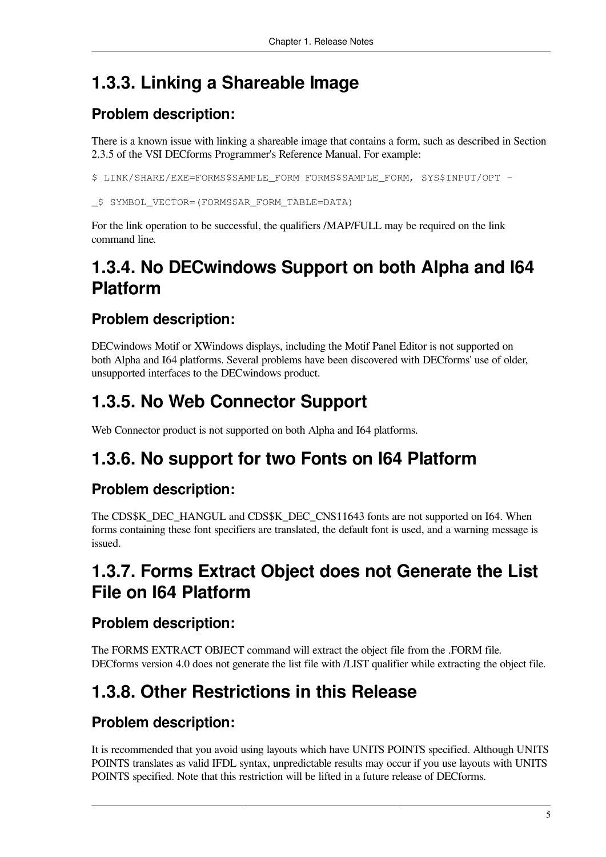# <span id="page-10-0"></span>**1.3.3. Linking a Shareable Image**

### **Problem description:**

There is a known issue with linking a shareable image that contains a form, such as described in Section 2.3.5 of the VSI DECforms Programmer's Reference Manual. For example:

\$ LINK/SHARE/EXE=FORMS\$SAMPLE FORM FORMS\$SAMPLE FORM, SYS\$INPUT/OPT -

\_\$ SYMBOL\_VECTOR=(FORMS\$AR\_FORM\_TABLE=DATA)

For the link operation to be successful, the qualifiers /MAP/FULL may be required on the link command line.

### <span id="page-10-1"></span>**1.3.4. No DECwindows Support on both Alpha and I64 Platform**

### **Problem description:**

DECwindows Motif or XWindows displays, including the Motif Panel Editor is not supported on both Alpha and I64 platforms. Several problems have been discovered with DECforms' use of older, unsupported interfaces to the DECwindows product.

### <span id="page-10-2"></span>**1.3.5. No Web Connector Support**

Web Connector product is not supported on both Alpha and I64 platforms.

### <span id="page-10-3"></span>**1.3.6. No support for two Fonts on I64 Platform**

#### **Problem description:**

The CDS\$K\_DEC\_HANGUL and CDS\$K\_DEC\_CNS11643 fonts are not supported on I64. When forms containing these font specifiers are translated, the default font is used, and a warning message is issued.

### <span id="page-10-4"></span>**1.3.7. Forms Extract Object does not Generate the List File on I64 Platform**

#### **Problem description:**

The FORMS EXTRACT OBJECT command will extract the object file from the .FORM file. DECforms version 4.0 does not generate the list file with /LIST qualifier while extracting the object file.

# <span id="page-10-5"></span>**1.3.8. Other Restrictions in this Release**

### **Problem description:**

It is recommended that you avoid using layouts which have UNITS POINTS specified. Although UNITS POINTS translates as valid IFDL syntax, unpredictable results may occur if you use layouts with UNITS POINTS specified. Note that this restriction will be lifted in a future release of DECforms.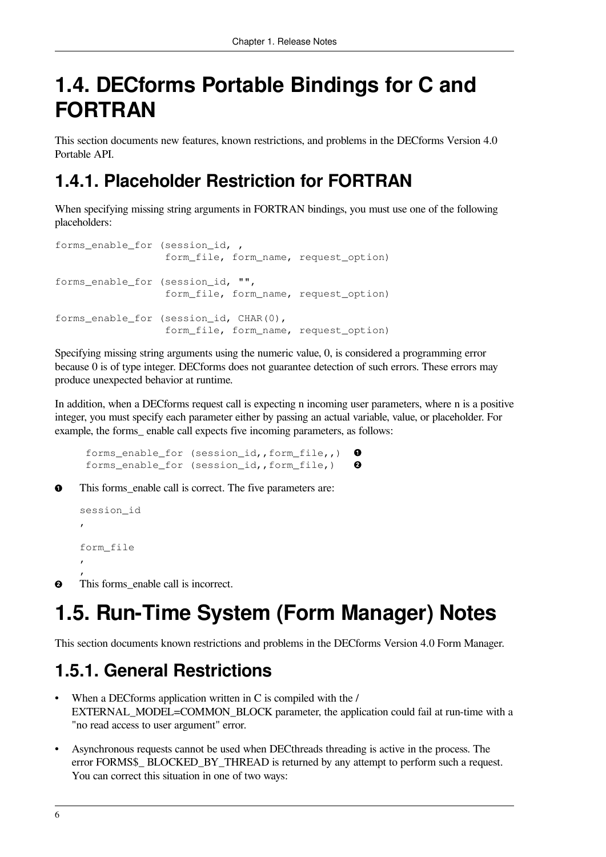# <span id="page-11-0"></span>**1.4. DECforms Portable Bindings for C and FORTRAN**

This section documents new features, known restrictions, and problems in the DECforms Version 4.0 Portable API.

# <span id="page-11-1"></span>**1.4.1. Placeholder Restriction for FORTRAN**

When specifying missing string arguments in FORTRAN bindings, you must use one of the following placeholders:

```
forms_enable_for (session_id, ,
                   form_file, form_name, request_option)
forms_enable_for (session_id, "",
                   form_file, form_name, request_option)
forms_enable_for (session_id, CHAR(0),
                  form file, form name, request option)
```
Specifying missing string arguments using the numeric value, 0, is considered a programming error because 0 is of type integer. DECforms does not guarantee detection of such errors. These errors may produce unexpected behavior at runtime.

In addition, when a DECforms request call is expecting n incoming user parameters, where n is a positive integer, you must specify each parameter either by passing an actual variable, value, or placeholder. For example, the forms enable call expects five incoming parameters, as follows:

```
 forms_enable_for (session_id,,form_file,,) 
                                                 \bullet forms_enable_for (session_id,,form_file,) 
                                                 A
```
This forms enable call is correct. The five parameters are:

#### $\bullet$

```
session_id
,
form_file
,
,
```
This forms enable call is incorrect.  $\boldsymbol{\rho}$ 

# <span id="page-11-2"></span>**1.5. Run-Time System (Form Manager) Notes**

This section documents known restrictions and problems in the DECforms Version 4.0 Form Manager.

# <span id="page-11-3"></span>**1.5.1. General Restrictions**

- When a DECforms application written in C is compiled with the / EXTERNAL\_MODEL=COMMON\_BLOCK parameter, the application could fail at run-time with a "no read access to user argument" error.
- Asynchronous requests cannot be used when DECthreads threading is active in the process. The error FORMS\$\_ BLOCKED\_BY\_THREAD is returned by any attempt to perform such a request. You can correct this situation in one of two ways: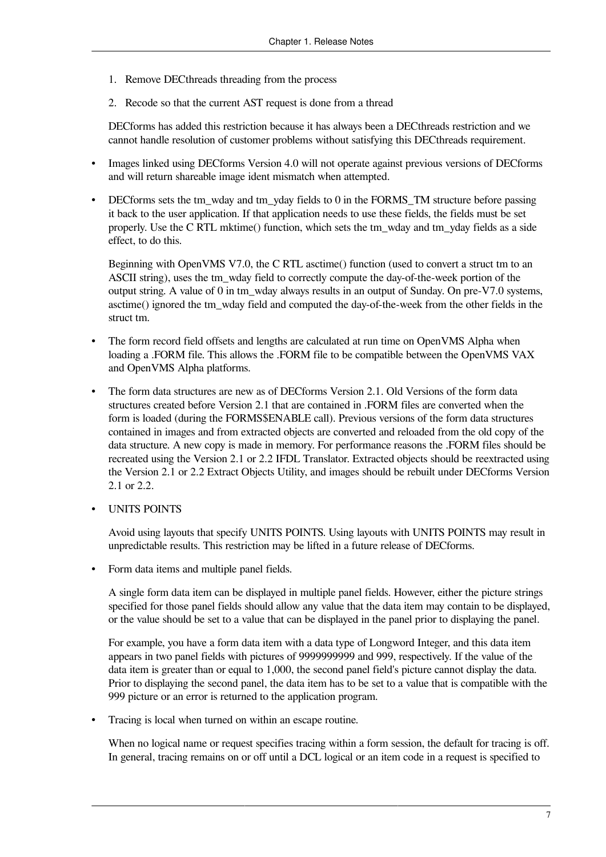- 1. Remove DECthreads threading from the process
- 2. Recode so that the current AST request is done from a thread

DECforms has added this restriction because it has always been a DECthreads restriction and we cannot handle resolution of customer problems without satisfying this DECthreads requirement.

- Images linked using DECforms Version 4.0 will not operate against previous versions of DECforms and will return shareable image ident mismatch when attempted.
- DECforms sets the tm\_wday and tm\_yday fields to 0 in the FORMS\_TM structure before passing it back to the user application. If that application needs to use these fields, the fields must be set properly. Use the C RTL mktime() function, which sets the tm\_wday and tm\_yday fields as a side effect, to do this.

Beginning with OpenVMS V7.0, the C RTL asctime() function (used to convert a struct tm to an ASCII string), uses the tm\_wday field to correctly compute the day-of-the-week portion of the output string. A value of 0 in tm\_wday always results in an output of Sunday. On pre-V7.0 systems, asctime() ignored the tm\_wday field and computed the day-of-the-week from the other fields in the struct tm.

- The form record field offsets and lengths are calculated at run time on OpenVMS Alpha when loading a .FORM file. This allows the .FORM file to be compatible between the OpenVMS VAX and OpenVMS Alpha platforms.
- The form data structures are new as of DECforms Version 2.1. Old Versions of the form data structures created before Version 2.1 that are contained in .FORM files are converted when the form is loaded (during the FORMS\$ENABLE call). Previous versions of the form data structures contained in images and from extracted objects are converted and reloaded from the old copy of the data structure. A new copy is made in memory. For performance reasons the .FORM files should be recreated using the Version 2.1 or 2.2 IFDL Translator. Extracted objects should be reextracted using the Version 2.1 or 2.2 Extract Objects Utility, and images should be rebuilt under DECforms Version 2.1 or 2.2.
- UNITS POINTS

Avoid using layouts that specify UNITS POINTS. Using layouts with UNITS POINTS may result in unpredictable results. This restriction may be lifted in a future release of DECforms.

• Form data items and multiple panel fields.

A single form data item can be displayed in multiple panel fields. However, either the picture strings specified for those panel fields should allow any value that the data item may contain to be displayed, or the value should be set to a value that can be displayed in the panel prior to displaying the panel.

For example, you have a form data item with a data type of Longword Integer, and this data item appears in two panel fields with pictures of 9999999999 and 999, respectively. If the value of the data item is greater than or equal to 1,000, the second panel field's picture cannot display the data. Prior to displaying the second panel, the data item has to be set to a value that is compatible with the 999 picture or an error is returned to the application program.

• Tracing is local when turned on within an escape routine.

When no logical name or request specifies tracing within a form session, the default for tracing is off. In general, tracing remains on or off until a DCL logical or an item code in a request is specified to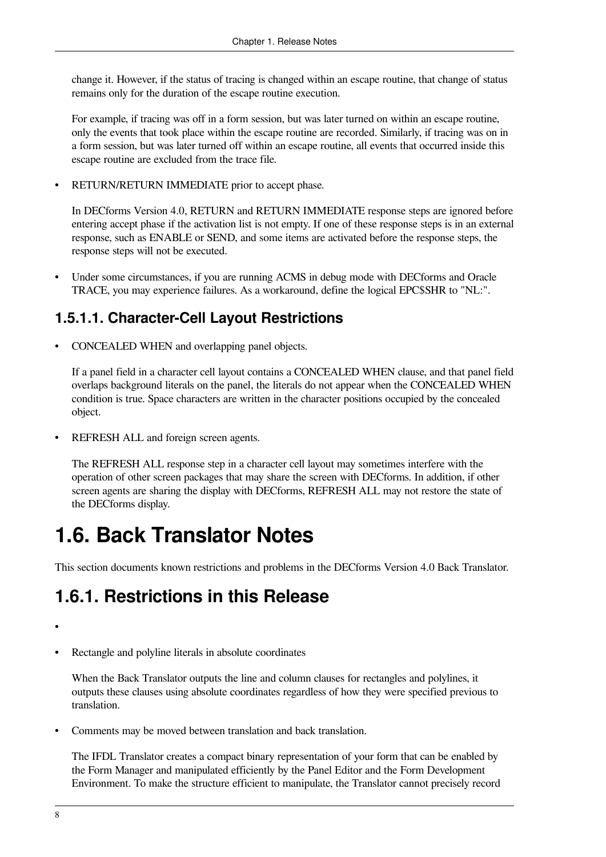change it. However, if the status of tracing is changed within an escape routine, that change of status remains only for the duration of the escape routine execution.

For example, if tracing was off in a form session, but was later turned on within an escape routine, only the events that took place within the escape routine are recorded. Similarly, if tracing was on in a form session, but was later turned off within an escape routine, all events that occurred inside this escape routine are excluded from the trace file.

RETURN/RETURN IMMEDIATE prior to accept phase.

In DECforms Version 4.0, RETURN and RETURN IMMEDIATE response steps are ignored before entering accept phase if the activation list is not empty. If one of these response steps is in an external response, such as ENABLE or SEND, and some items are activated before the response steps, the response steps will not be executed.

Under some circumstances, if you are running ACMS in debug mode with DECforms and Oracle TRACE, you may experience failures. As a workaround, define the logical EPC\$SHR to "NL:".

### <span id="page-13-0"></span>**1.5.1.1. Character-Cell Layout Restrictions**

• CONCEALED WHEN and overlapping panel objects.

If a panel field in a character cell layout contains a CONCEALED WHEN clause, and that panel field overlaps background literals on the panel, the literals do not appear when the CONCEALED WHEN condition is true. Space characters are written in the character positions occupied by the concealed object.

REFRESH ALL and foreign screen agents.

The REFRESH ALL response step in a character cell layout may sometimes interfere with the operation of other screen packages that may share the screen with DECforms. In addition, if other screen agents are sharing the display with DECforms, REFRESH ALL may not restore the state of the DECforms display.

# <span id="page-13-1"></span>**1.6. Back Translator Notes**

<span id="page-13-2"></span>This section documents known restrictions and problems in the DECforms Version 4.0 Back Translator.

### **1.6.1. Restrictions in this Release**

#### •

Rectangle and polyline literals in absolute coordinates

When the Back Translator outputs the line and column clauses for rectangles and polylines, it outputs these clauses using absolute coordinates regardless of how they were specified previous to translation.

• Comments may be moved between translation and back translation.

The IFDL Translator creates a compact binary representation of your form that can be enabled by the Form Manager and manipulated efficiently by the Panel Editor and the Form Development Environment. To make the structure efficient to manipulate, the Translator cannot precisely record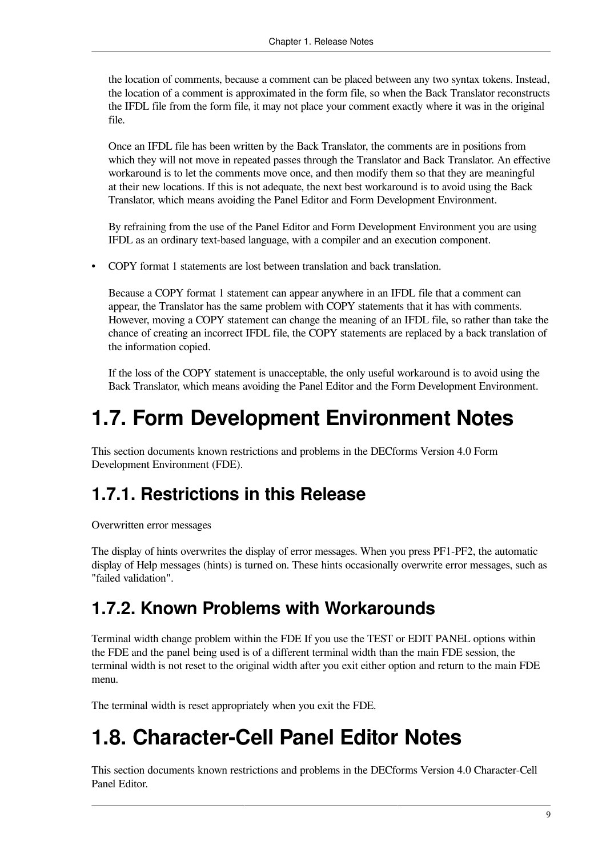the location of comments, because a comment can be placed between any two syntax tokens. Instead, the location of a comment is approximated in the form file, so when the Back Translator reconstructs the IFDL file from the form file, it may not place your comment exactly where it was in the original file.

Once an IFDL file has been written by the Back Translator, the comments are in positions from which they will not move in repeated passes through the Translator and Back Translator. An effective workaround is to let the comments move once, and then modify them so that they are meaningful at their new locations. If this is not adequate, the next best workaround is to avoid using the Back Translator, which means avoiding the Panel Editor and Form Development Environment.

By refraining from the use of the Panel Editor and Form Development Environment you are using IFDL as an ordinary text-based language, with a compiler and an execution component.

• COPY format 1 statements are lost between translation and back translation.

Because a COPY format 1 statement can appear anywhere in an IFDL file that a comment can appear, the Translator has the same problem with COPY statements that it has with comments. However, moving a COPY statement can change the meaning of an IFDL file, so rather than take the chance of creating an incorrect IFDL file, the COPY statements are replaced by a back translation of the information copied.

If the loss of the COPY statement is unacceptable, the only useful workaround is to avoid using the Back Translator, which means avoiding the Panel Editor and the Form Development Environment.

# <span id="page-14-0"></span>**1.7. Form Development Environment Notes**

This section documents known restrictions and problems in the DECforms Version 4.0 Form Development Environment (FDE).

# <span id="page-14-1"></span>**1.7.1. Restrictions in this Release**

Overwritten error messages

The display of hints overwrites the display of error messages. When you press PF1-PF2, the automatic display of Help messages (hints) is turned on. These hints occasionally overwrite error messages, such as "failed validation".

### <span id="page-14-2"></span>**1.7.2. Known Problems with Workarounds**

Terminal width change problem within the FDE If you use the TEST or EDIT PANEL options within the FDE and the panel being used is of a different terminal width than the main FDE session, the terminal width is not reset to the original width after you exit either option and return to the main FDE menu.

<span id="page-14-3"></span>The terminal width is reset appropriately when you exit the FDE.

# **1.8. Character-Cell Panel Editor Notes**

This section documents known restrictions and problems in the DECforms Version 4.0 Character-Cell Panel Editor.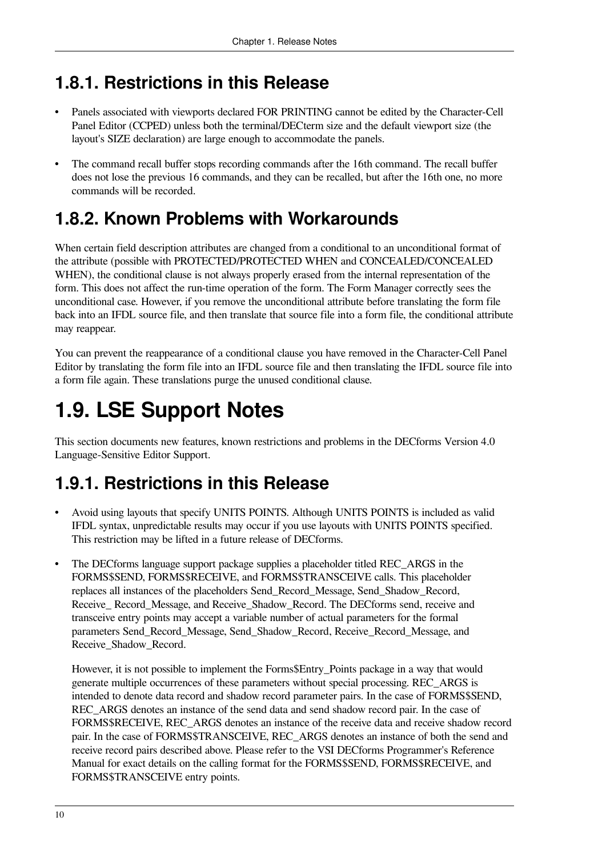### <span id="page-15-0"></span>**1.8.1. Restrictions in this Release**

- Panels associated with viewports declared FOR PRINTING cannot be edited by the Character-Cell Panel Editor (CCPED) unless both the terminal/DECterm size and the default viewport size (the layout's SIZE declaration) are large enough to accommodate the panels.
- The command recall buffer stops recording commands after the 16th command. The recall buffer does not lose the previous 16 commands, and they can be recalled, but after the 16th one, no more commands will be recorded.

### <span id="page-15-1"></span>**1.8.2. Known Problems with Workarounds**

When certain field description attributes are changed from a conditional to an unconditional format of the attribute (possible with PROTECTED/PROTECTED WHEN and CONCEALED/CONCEALED WHEN), the conditional clause is not always properly erased from the internal representation of the form. This does not affect the run-time operation of the form. The Form Manager correctly sees the unconditional case. However, if you remove the unconditional attribute before translating the form file back into an IFDL source file, and then translate that source file into a form file, the conditional attribute may reappear.

You can prevent the reappearance of a conditional clause you have removed in the Character-Cell Panel Editor by translating the form file into an IFDL source file and then translating the IFDL source file into a form file again. These translations purge the unused conditional clause.

# <span id="page-15-2"></span>**1.9. LSE Support Notes**

This section documents new features, known restrictions and problems in the DECforms Version 4.0 Language-Sensitive Editor Support.

### <span id="page-15-3"></span>**1.9.1. Restrictions in this Release**

- Avoid using layouts that specify UNITS POINTS. Although UNITS POINTS is included as valid IFDL syntax, unpredictable results may occur if you use layouts with UNITS POINTS specified. This restriction may be lifted in a future release of DECforms.
- The DECforms language support package supplies a placeholder titled REC\_ARGS in the FORMS\$SEND, FORMS\$RECEIVE, and FORMS\$TRANSCEIVE calls. This placeholder replaces all instances of the placeholders Send\_Record\_Message, Send\_Shadow\_Record, Receive\_ Record\_Message, and Receive\_Shadow\_Record. The DECforms send, receive and transceive entry points may accept a variable number of actual parameters for the formal parameters Send\_Record\_Message, Send\_Shadow\_Record, Receive\_Record\_Message, and Receive\_Shadow\_Record.

However, it is not possible to implement the Forms\$Entry\_Points package in a way that would generate multiple occurrences of these parameters without special processing. REC\_ARGS is intended to denote data record and shadow record parameter pairs. In the case of FORMS\$SEND, REC\_ARGS denotes an instance of the send data and send shadow record pair. In the case of FORMS\$RECEIVE, REC\_ARGS denotes an instance of the receive data and receive shadow record pair. In the case of FORMS\$TRANSCEIVE, REC\_ARGS denotes an instance of both the send and receive record pairs described above. Please refer to the VSI DECforms Programmer's Reference Manual for exact details on the calling format for the FORMS\$SEND, FORMS\$RECEIVE, and FORMS\$TRANSCEIVE entry points.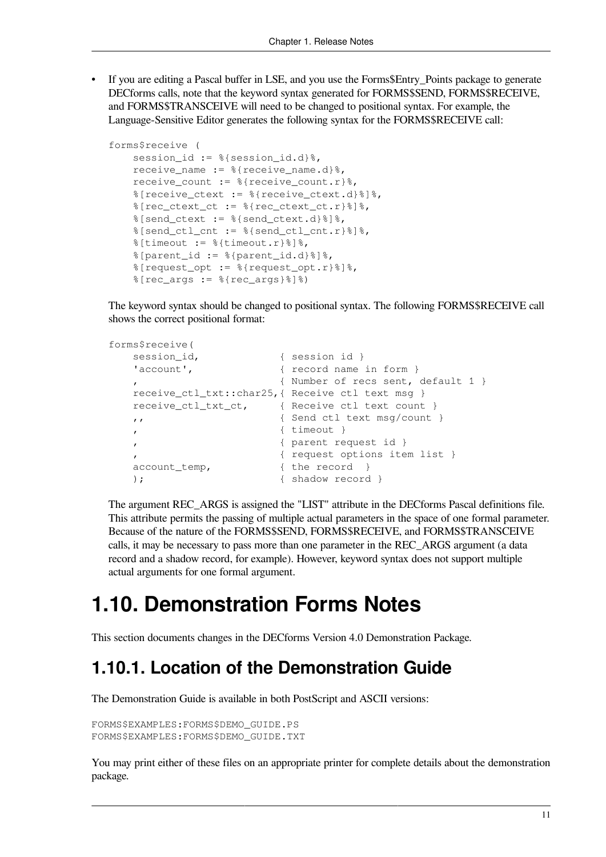• If you are editing a Pascal buffer in LSE, and you use the Forms\$Entry\_Points package to generate DECforms calls, note that the keyword syntax generated for FORMS\$SEND, FORMS\$RECEIVE, and FORMS\$TRANSCEIVE will need to be changed to positional syntax. For example, the Language-Sensitive Editor generates the following syntax for the FORMS\$RECEIVE call:

```
forms$receive (
    session id := 8{session id.d}%,
    receive name := %{receive name.d}%,
     receive_count := %{receive_count.r}%,
     %[receive_ctext := %{receive_ctext.d}%]%,
     %[rec_ctext_ct := %{rec_ctext_ct.r}%]%,
    $[send ctext := <math>${send ctext .d}$],
    \frac{1}{2} [send ctl cnt := \frac{1}{2} [send ctl cnt.r}%]%,
    %[timeout := %{timeout.r}%], %[parent_id := %{parent_id.d}%]%,
     %[request_opt := %{request_opt.r}%]%,
    %[rec_{args} := %{rec_{args}}]
```
The keyword syntax should be changed to positional syntax. The following FORMS\$RECEIVE call shows the correct positional format:

```
forms$receive(
  session id, \{ session id }
  'account', \{ record name in form \} , { Number of recs sent, default 1 }
  receive ctl txt::char25, { Receive ctl text msg }
  receive ctl txt ct, { Receive ctl text count }
    ,, { Send ctl text msg/count }
    , { timeout }
    , { parent request id }
                      , { request options item list }
  account temp, { } { } }  } the record } ); { shadow record }
```
The argument REC\_ARGS is assigned the "LIST" attribute in the DECforms Pascal definitions file. This attribute permits the passing of multiple actual parameters in the space of one formal parameter. Because of the nature of the FORMS\$SEND, FORMS\$RECEIVE, and FORMS\$TRANSCEIVE calls, it may be necessary to pass more than one parameter in the REC\_ARGS argument (a data record and a shadow record, for example). However, keyword syntax does not support multiple actual arguments for one formal argument.

# <span id="page-16-0"></span>**1.10. Demonstration Forms Notes**

<span id="page-16-1"></span>This section documents changes in the DECforms Version 4.0 Demonstration Package.

### **1.10.1. Location of the Demonstration Guide**

The Demonstration Guide is available in both PostScript and ASCII versions:

```
FORMS$EXAMPLES:FORMS$DEMO_GUIDE.PS
FORMS$EXAMPLES:FORMS$DEMO_GUIDE.TXT
```
You may print either of these files on an appropriate printer for complete details about the demonstration package.